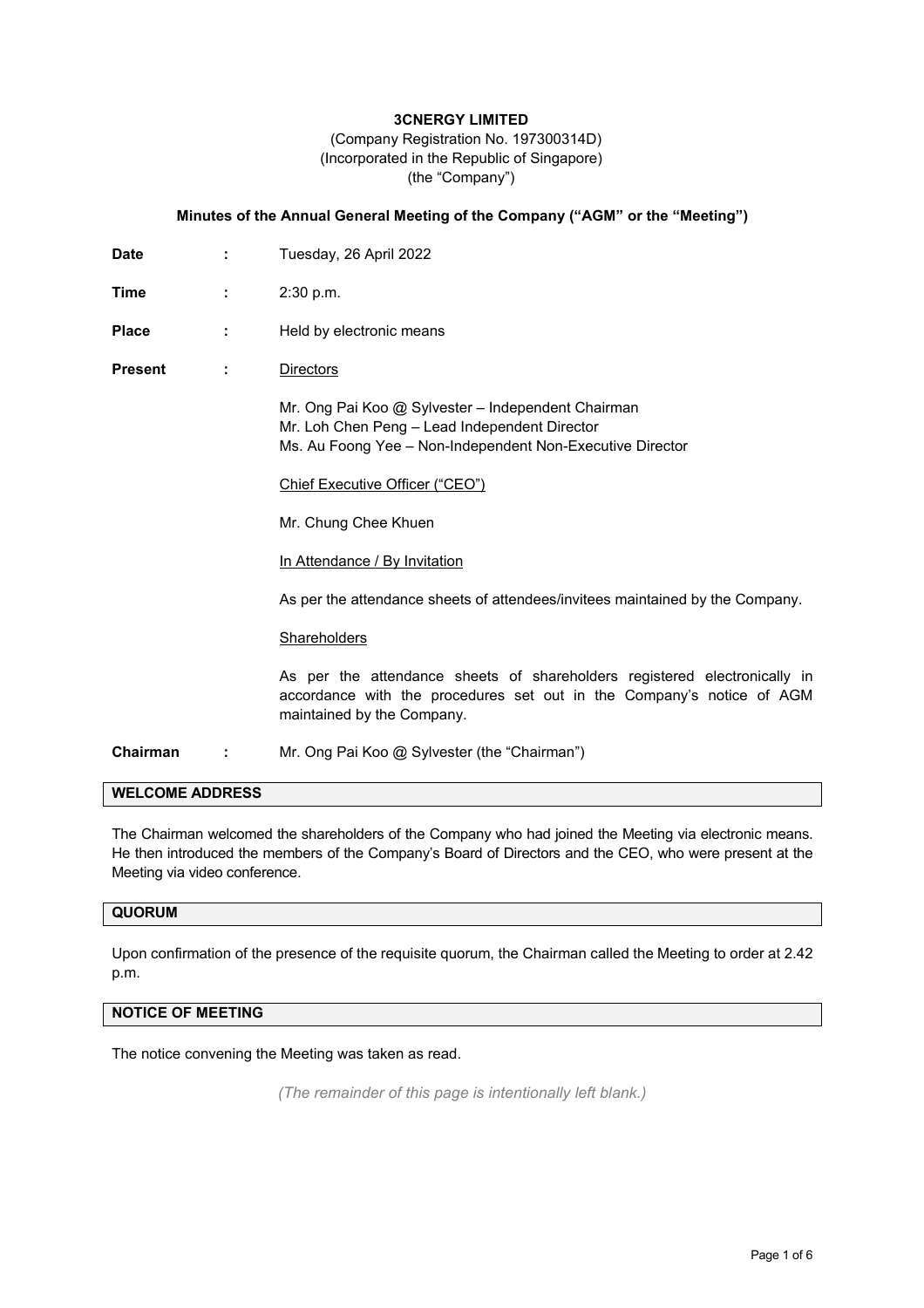# **3CNERGY LIMITED**

 (Company Registration No. 197300314D) (Incorporated in the Republic of Singapore) (the "Company")

### **Minutes of the Annual General Meeting of the Company ("AGM" or the "Meeting")**

- **Date :** Tuesday, 26 April 2022
- **Time : 2:30 p.m.**
- Place : Held by electronic means
- **Present :** Directors

 Mr. Ong Pai Koo @ Sylvester – Independent Chairman Mr. Loh Chen Peng – Lead Independent Director Ms. Au Foong Yee – Non-Independent Non-Executive Director

Chief Executive Officer ("CEO")

Mr. Chung Chee Khuen

In Attendance / By Invitation

As per the attendance sheets of attendees/invitees maintained by the Company.

#### **Shareholders**

As per the attendance sheets of shareholders registered electronically in accordance with the procedures set out in the Company's notice of AGM maintained by the Company.

**Chairman :** Mr. Ong Pai Koo @ Sylvester (the "Chairman")

# **WELCOME ADDRESS**

The Chairman welcomed the shareholders of the Company who had joined the Meeting via electronic means. He then introduced the members of the Company's Board of Directors and the CEO, who were present at the Meeting via video conference.

#### **QUORUM**

Upon confirmation of the presence of the requisite quorum, the Chairman called the Meeting to order at 2.42 p.m.

## **NOTICE OF MEETING**

The notice convening the Meeting was taken as read.

*(The remainder of this page is intentionally left blank.)*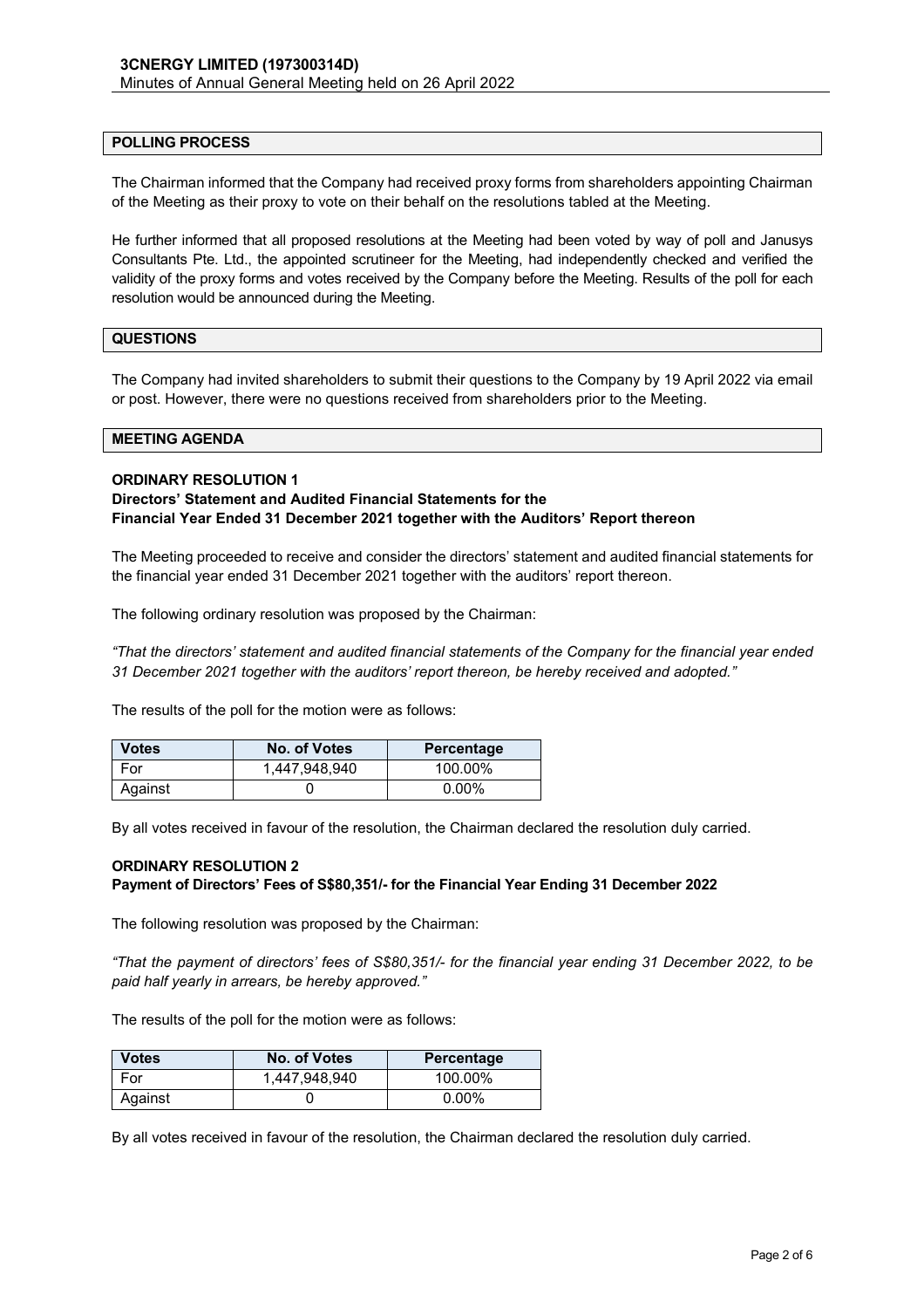#### **POLLING PROCESS**

The Chairman informed that the Company had received proxy forms from shareholders appointing Chairman of the Meeting as their proxy to vote on their behalf on the resolutions tabled at the Meeting.

He further informed that all proposed resolutions at the Meeting had been voted by way of poll and Janusys Consultants Pte. Ltd., the appointed scrutineer for the Meeting, had independently checked and verified the validity of the proxy forms and votes received by the Company before the Meeting. Results of the poll for each resolution would be announced during the Meeting.

### **QUESTIONS**

The Company had invited shareholders to submit their questions to the Company by 19 April 2022 via email or post. However, there were no questions received from shareholders prior to the Meeting.

### **MEETING AGENDA**

#### **ORDINARY RESOLUTION 1**

### **Directors' Statement and Audited Financial Statements for the Financial Year Ended 31 December 2021 together with the Auditors' Report thereon**

The Meeting proceeded to receive and consider the directors' statement and audited financial statements for the financial year ended 31 December 2021 together with the auditors' report thereon.

The following ordinary resolution was proposed by the Chairman:

*"That the directors' statement and audited financial statements of the Company for the financial year ended 31 December 2021 together with the auditors' report thereon, be hereby received and adopted."* 

The results of the poll for the motion were as follows:

| <b>Votes</b> | No. of Votes  | Percentage |
|--------------|---------------|------------|
| For          | 1.447.948.940 | 100.00%    |
| Against      |               | $0.00\%$   |

By all votes received in favour of the resolution, the Chairman declared the resolution duly carried.

### **ORDINARY RESOLUTION 2**

### **Payment of Directors' Fees of S\$80,351/- for the Financial Year Ending 31 December 2022**

The following resolution was proposed by the Chairman:

*"That the payment of directors' fees of S\$80,351/- for the financial year ending 31 December 2022, to be paid half yearly in arrears, be hereby approved."* 

The results of the poll for the motion were as follows:

| <b>Votes</b> | No. of Votes  | Percentage |
|--------------|---------------|------------|
| For          | 1,447,948,940 | 100.00%    |
| Against      |               | $0.00\%$   |

By all votes received in favour of the resolution, the Chairman declared the resolution duly carried.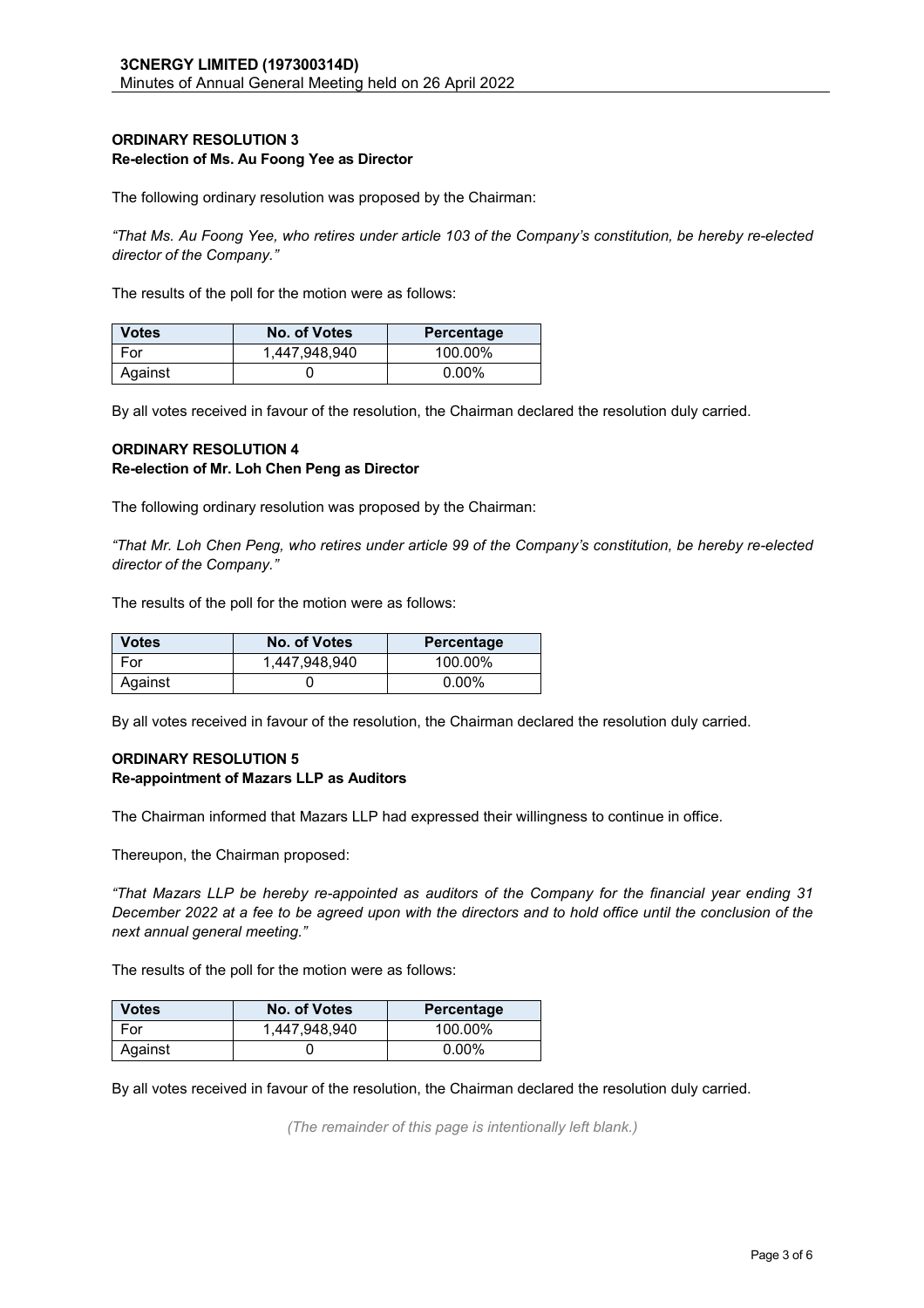### **ORDINARY RESOLUTION 3 Re-election of Ms. Au Foong Yee as Director**

The following ordinary resolution was proposed by the Chairman:

*"That Ms. Au Foong Yee, who retires under article 103 of the Company's constitution, be hereby re-elected director of the Company."* 

The results of the poll for the motion were as follows:

| <b>Votes</b> | No. of Votes  | Percentage |
|--------------|---------------|------------|
| For          | 1,447,948,940 | 100.00%    |
| Against      |               | $0.00\%$   |

By all votes received in favour of the resolution, the Chairman declared the resolution duly carried.

# **ORDINARY RESOLUTION 4**

### **Re-election of Mr. Loh Chen Peng as Director**

The following ordinary resolution was proposed by the Chairman:

*"That Mr. Loh Chen Peng, who retires under article 99 of the Company's constitution, be hereby re-elected director of the Company."* 

The results of the poll for the motion were as follows:

| <b>Votes</b> | No. of Votes  | Percentage |
|--------------|---------------|------------|
| For          | 1,447,948,940 | 100.00%    |
| Against      |               | $0.00\%$   |

By all votes received in favour of the resolution, the Chairman declared the resolution duly carried.

# **ORDINARY RESOLUTION 5 Re-appointment of Mazars LLP as Auditors**

The Chairman informed that Mazars LLP had expressed their willingness to continue in office.

Thereupon, the Chairman proposed:

*"That Mazars LLP be hereby re-appointed as auditors of the Company for the financial year ending 31 December 2022 at a fee to be agreed upon with the directors and to hold office until the conclusion of the next annual general meeting."* 

The results of the poll for the motion were as follows:

| <b>Votes</b> | No. of Votes  | Percentage |
|--------------|---------------|------------|
| For          | 1,447,948,940 | 100.00%    |
| Against      |               | $0.00\%$   |

By all votes received in favour of the resolution, the Chairman declared the resolution duly carried.

*(The remainder of this page is intentionally left blank.)*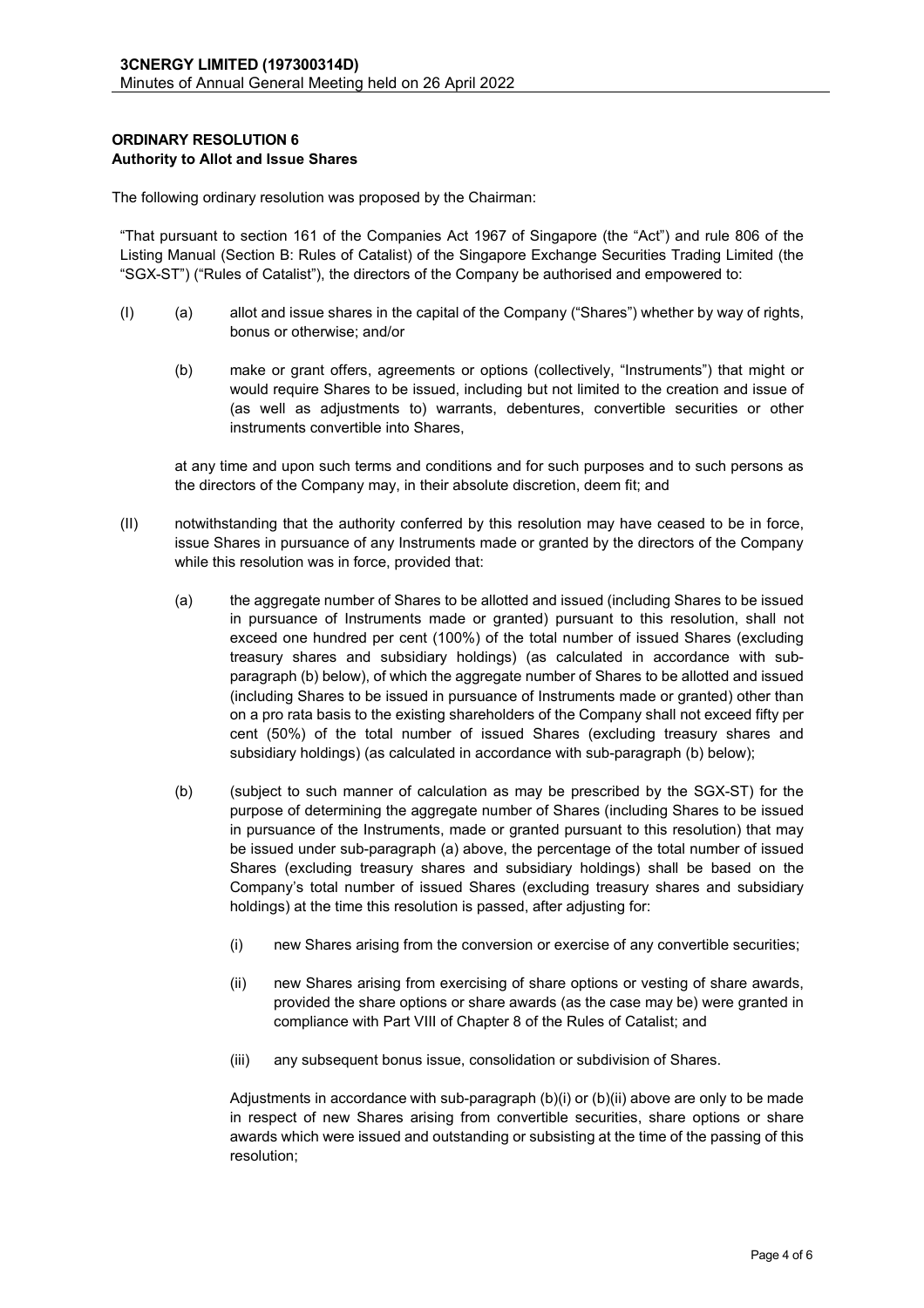# **ORDINARY RESOLUTION 6 Authority to Allot and Issue Shares**

The following ordinary resolution was proposed by the Chairman:

"That pursuant to section 161 of the Companies Act 1967 of Singapore (the "Act") and rule 806 of the Listing Manual (Section B: Rules of Catalist) of the Singapore Exchange Securities Trading Limited (the "SGX-ST") ("Rules of Catalist"), the directors of the Company be authorised and empowered to:

- (I) (a) allot and issue shares in the capital of the Company ("Shares") whether by way of rights, bonus or otherwise; and/or
	- (b) make or grant offers, agreements or options (collectively, "Instruments") that might or would require Shares to be issued, including but not limited to the creation and issue of (as well as adjustments to) warrants, debentures, convertible securities or other instruments convertible into Shares,

 at any time and upon such terms and conditions and for such purposes and to such persons as the directors of the Company may, in their absolute discretion, deem fit; and

- (II) notwithstanding that the authority conferred by this resolution may have ceased to be in force, issue Shares in pursuance of any Instruments made or granted by the directors of the Company while this resolution was in force, provided that:
	- (a) the aggregate number of Shares to be allotted and issued (including Shares to be issued in pursuance of Instruments made or granted) pursuant to this resolution, shall not exceed one hundred per cent (100%) of the total number of issued Shares (excluding treasury shares and subsidiary holdings) (as calculated in accordance with subparagraph (b) below), of which the aggregate number of Shares to be allotted and issued (including Shares to be issued in pursuance of Instruments made or granted) other than on a pro rata basis to the existing shareholders of the Company shall not exceed fifty per cent (50%) of the total number of issued Shares (excluding treasury shares and subsidiary holdings) (as calculated in accordance with sub-paragraph (b) below);
	- (b) (subject to such manner of calculation as may be prescribed by the SGX-ST) for the purpose of determining the aggregate number of Shares (including Shares to be issued in pursuance of the Instruments, made or granted pursuant to this resolution) that may be issued under sub-paragraph (a) above, the percentage of the total number of issued Shares (excluding treasury shares and subsidiary holdings) shall be based on the Company's total number of issued Shares (excluding treasury shares and subsidiary holdings) at the time this resolution is passed, after adjusting for:
		- (i) new Shares arising from the conversion or exercise of any convertible securities;
		- (ii) new Shares arising from exercising of share options or vesting of share awards, provided the share options or share awards (as the case may be) were granted in compliance with Part VIII of Chapter 8 of the Rules of Catalist; and
		- (iii) any subsequent bonus issue, consolidation or subdivision of Shares.

 Adjustments in accordance with sub-paragraph (b)(i) or (b)(ii) above are only to be made in respect of new Shares arising from convertible securities, share options or share awards which were issued and outstanding or subsisting at the time of the passing of this resolution;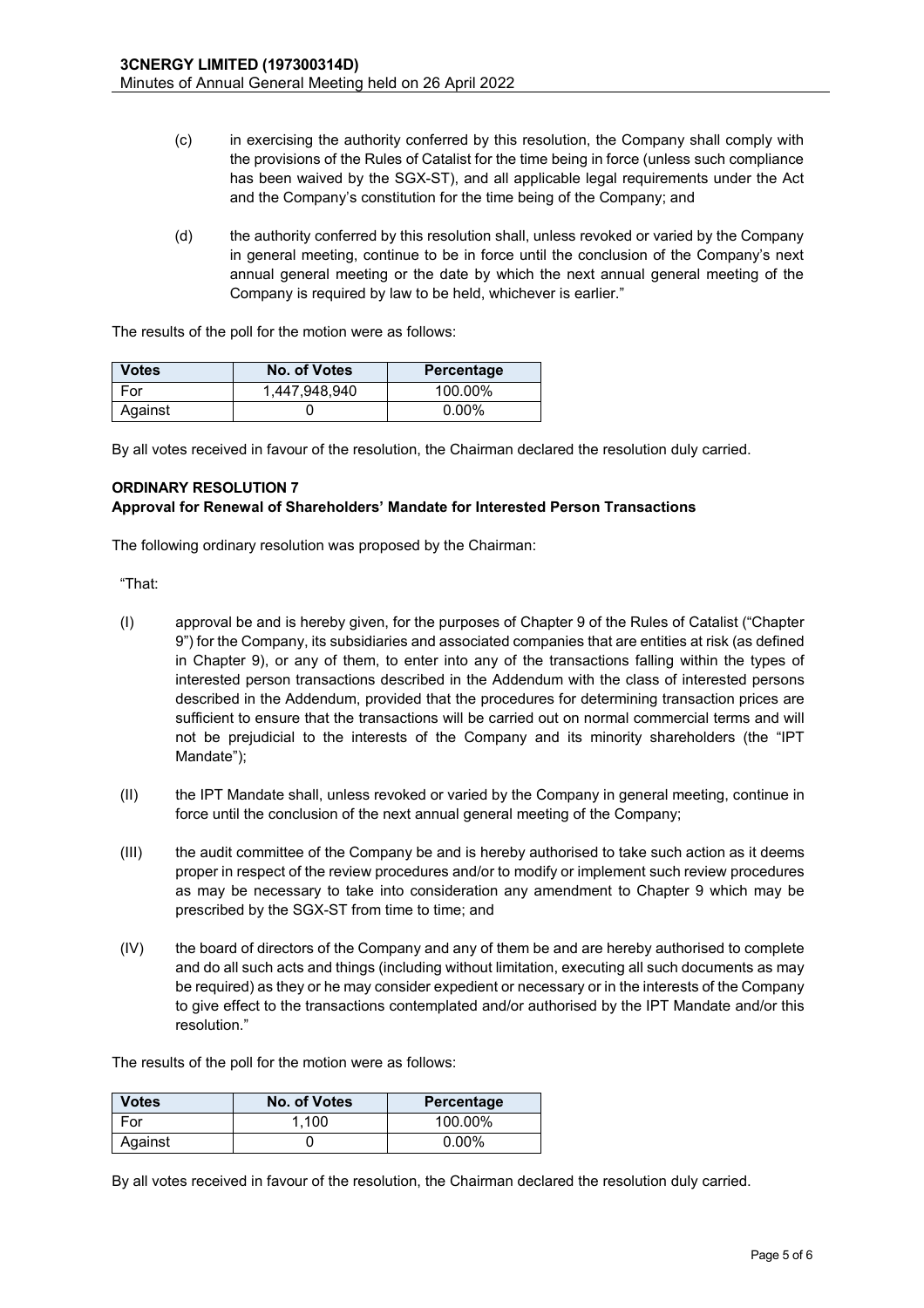- (c) in exercising the authority conferred by this resolution, the Company shall comply with the provisions of the Rules of Catalist for the time being in force (unless such compliance has been waived by the SGX-ST), and all applicable legal requirements under the Act and the Company's constitution for the time being of the Company; and
- (d) the authority conferred by this resolution shall, unless revoked or varied by the Company in general meeting, continue to be in force until the conclusion of the Company's next annual general meeting or the date by which the next annual general meeting of the Company is required by law to be held, whichever is earlier."

The results of the poll for the motion were as follows:

| <b>Votes</b> | No. of Votes  | Percentage |
|--------------|---------------|------------|
| For          | 1,447,948,940 | 100.00%    |
| Against      |               | $0.00\%$   |

By all votes received in favour of the resolution, the Chairman declared the resolution duly carried.

### **ORDINARY RESOLUTION 7**

### **Approval for Renewal of Shareholders' Mandate for Interested Person Transactions**

The following ordinary resolution was proposed by the Chairman:

"That:

- (I) approval be and is hereby given, for the purposes of Chapter 9 of the Rules of Catalist ("Chapter 9") for the Company, its subsidiaries and associated companies that are entities at risk (as defined in Chapter 9), or any of them, to enter into any of the transactions falling within the types of interested person transactions described in the Addendum with the class of interested persons described in the Addendum, provided that the procedures for determining transaction prices are sufficient to ensure that the transactions will be carried out on normal commercial terms and will not be prejudicial to the interests of the Company and its minority shareholders (the "IPT Mandate");
- (II) the IPT Mandate shall, unless revoked or varied by the Company in general meeting, continue in force until the conclusion of the next annual general meeting of the Company;
- (III) the audit committee of the Company be and is hereby authorised to take such action as it deems proper in respect of the review procedures and/or to modify or implement such review procedures as may be necessary to take into consideration any amendment to Chapter 9 which may be prescribed by the SGX-ST from time to time; and
- (IV) the board of directors of the Company and any of them be and are hereby authorised to complete and do all such acts and things (including without limitation, executing all such documents as may be required) as they or he may consider expedient or necessary or in the interests of the Company to give effect to the transactions contemplated and/or authorised by the IPT Mandate and/or this resolution."

The results of the poll for the motion were as follows:

| <b>Votes</b> | No. of Votes | Percentage |
|--------------|--------------|------------|
| For          | 1.100        | 100.00%    |
| Against      |              | $0.00\%$   |

By all votes received in favour of the resolution, the Chairman declared the resolution duly carried.